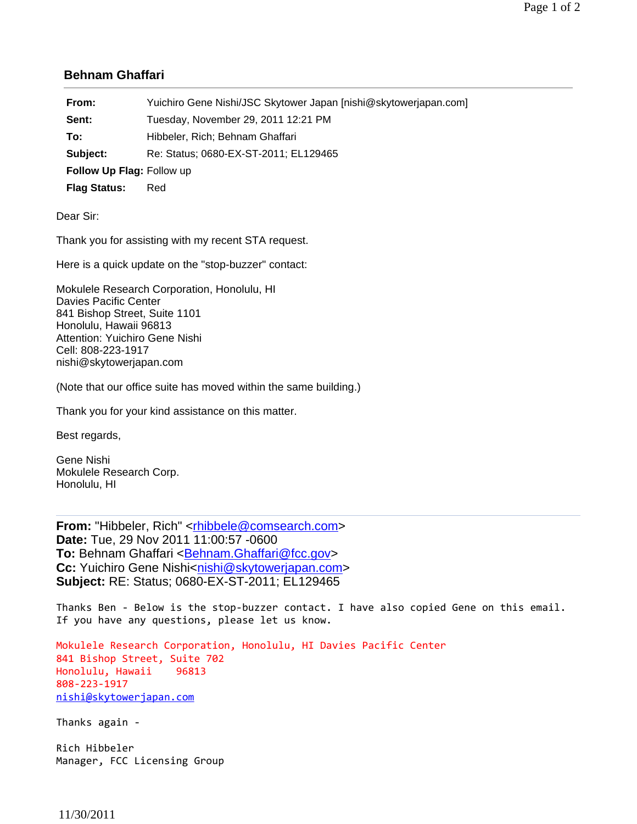## **Behnam Ghaffari**

| From:                     | Yuichiro Gene Nishi/JSC Skytower Japan [nishi@skytowerjapan.com] |
|---------------------------|------------------------------------------------------------------|
| Sent:                     | Tuesday, November 29, 2011 12:21 PM                              |
| To:                       | Hibbeler, Rich; Behnam Ghaffari                                  |
| Subject:                  | Re: Status; 0680-EX-ST-2011; EL129465                            |
| Follow Up Flag: Follow up |                                                                  |
| <b>Flag Status:</b>       | Red                                                              |

Dear Sir:

Thank you for assisting with my recent STA request.

Here is a quick update on the "stop-buzzer" contact:

Mokulele Research Corporation, Honolulu, HI Davies Pacific Center 841 Bishop Street, Suite 1101 Honolulu, Hawaii 96813 Attention: Yuichiro Gene Nishi Cell: 808-223-1917 nishi@skytowerjapan.com

(Note that our office suite has moved within the same building.)

Thank you for your kind assistance on this matter.

Best regards,

Gene Nishi Mokulele Research Corp. Honolulu, HI

**From:** "Hibbeler, Rich" <rhibbele@comsearch.com> **Date:** Tue, 29 Nov 2011 11:00:57 -0600 **To: Behnam Ghaffari <Behnam.Ghaffari@fcc.gov> Cc:** Yuichiro Gene Nishi<nishi@skytowerjapan.com> **Subject:** RE: Status; 0680-EX-ST-2011; EL129465

Thanks Ben - Below is the stop-buzzer contact. I have also copied Gene on this email. If you have any questions, please let us know.

Mokulele Research Corporation, Honolulu, HI Davies Pacific Center 841 Bishop Street, Suite 702 Honolulu, Hawaii 96813 808‐223‐1917 nishi@skytowerjapan.com

Thanks again ‐

Rich Hibbeler Manager, FCC Licensing Group